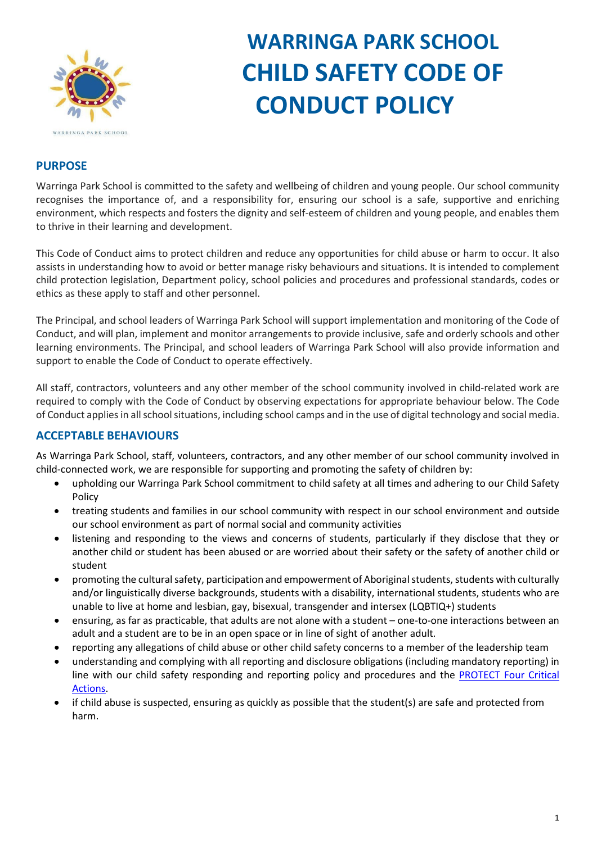

# **WARRINGA PARK SCHOOL CHILD SAFETY CODE OF CONDUCT POLICY**

#### **PURPOSE**

Warringa Park School is committed to the safety and wellbeing of children and young people. Our school community recognises the importance of, and a responsibility for, ensuring our school is a safe, supportive and enriching environment, which respects and fosters the dignity and self-esteem of children and young people, and enables them to thrive in their learning and development.

This Code of Conduct aims to protect children and reduce any opportunities for child abuse or harm to occur. It also assists in understanding how to avoid or better manage risky behaviours and situations. It is intended to complement child protection legislation, Department policy, school policies and procedures and professional standards, codes or ethics as these apply to staff and other personnel.

The Principal, and school leaders of Warringa Park School will support implementation and monitoring of the Code of Conduct, and will plan, implement and monitor arrangements to provide inclusive, safe and orderly schools and other learning environments. The Principal, and school leaders of Warringa Park School will also provide information and support to enable the Code of Conduct to operate effectively.

All staff, contractors, volunteers and any other member of the school community involved in child-related work are required to comply with the Code of Conduct by observing expectations for appropriate behaviour below. The Code of Conduct applies in all school situations, including school camps and in the use of digital technology and social media.

## **ACCEPTABLE BEHAVIOURS**

As Warringa Park School, staff, volunteers, contractors, and any other member of our school community involved in child-connected work, we are responsible for supporting and promoting the safety of children by:

- upholding our Warringa Park School commitment to child safety at all times and adhering to our Child Safety Policy
- treating students and families in our school community with respect in our school environment and outside our school environment as part of normal social and community activities
- listening and responding to the views and concerns of students, particularly if they disclose that they or another child or student has been abused or are worried about their safety or the safety of another child or student
- promoting the cultural safety, participation and empowerment of Aboriginal students, students with culturally and/or linguistically diverse backgrounds, students with a disability, international students, students who are unable to live at home and lesbian, gay, bisexual, transgender and intersex (LQBTIQ+) students
- ensuring, as far as practicable, that adults are not alone with a student one-to-one interactions between an adult and a student are to be in an open space or in line of sight of another adult.
- reporting any allegations of child abuse or other child safety concerns to a member of the leadership team
- understanding and complying with all reporting and disclosure obligations (including mandatory reporting) in line with our child safety responding and reporting policy and procedures and the [PROTECT Four Critical](https://www.education.vic.gov.au/Documents/about/programs/health/protect/FourCriticalActions_ChildAbuse.pdf)  [Actions.](https://www.education.vic.gov.au/Documents/about/programs/health/protect/FourCriticalActions_ChildAbuse.pdf)
- if child abuse is suspected, ensuring as quickly as possible that the student(s) are safe and protected from harm.